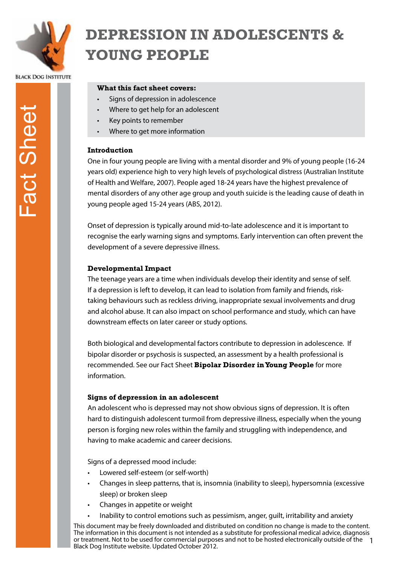

# **Depression in adolescents & young people**

#### **BLACK DOG INSTITUTE**

#### **What this fact sheet covers:**

- Signs of depression in adolescence
- Where to get help for an adolescent
- Key points to remember
- Where to get more information

### **Introduction**

One in four young people are living with a mental disorder and 9% of young people (16-24 years old) experience high to very high levels of psychological distress (Australian Institute of Health and Welfare, 2007). People aged 18-24 years have the highest prevalence of mental disorders of any other age group and youth suicide is the leading cause of death in young people aged 15-24 years (ABS, 2012).

Onset of depression is typically around mid-to-late adolescence and it is important to recognise the early warning signs and symptoms. Early intervention can often prevent the development of a severe depressive illness.

### **Developmental Impact**

The teenage years are a time when individuals develop their identity and sense of self. If a depression is left to develop, it can lead to isolation from family and friends, risktaking behaviours such as reckless driving, inappropriate sexual involvements and drug and alcohol abuse. It can also impact on school performance and study, which can have downstream effects on later career or study options.

Both biological and developmental factors contribute to depression in adolescence. If bipolar disorder or psychosis is suspected, an assessment by a health professional is recommended. See our Fact Sheet **Bipolar Disorder in Young People** for more information.

#### **Signs of depression in an adolescent**

An adolescent who is depressed may not show obvious signs of depression. It is often hard to distinguish adolescent turmoil from depressive illness, especially when the young person is forging new roles within the family and struggling with independence, and having to make academic and career decisions.

Signs of a depressed mood include:

- Lowered self-esteem (or self-worth)
- Changes in sleep patterns, that is, insomnia (inability to sleep), hypersomnia (excessive sleep) or broken sleep
- Changes in appetite or weight
- Inability to control emotions such as pessimism, anger, guilt, irritability and anxiety

or treatment. Not to be used for commercial purposes and not to be hosted electronically outside of the 1 This document may be freely downloaded and distributed on condition no change is made to the content. The information in this document is not intended as a substitute for professional medical advice, diagnosis Black Dog Institute website. Updated October 2012.